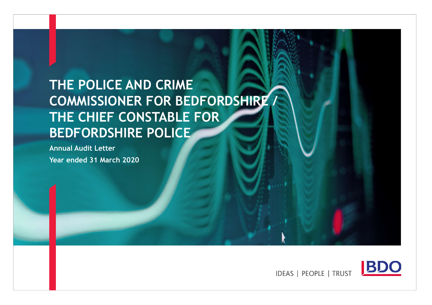# THE POLICE AND CRIME COMMISSIONER FOR BEDFORDSHIRE / THE CHIEF CONSTABLE FOR BEDFORDSHIRE POLICE

Annual Audit Letter Year ended 31 March 2020



**IDEAS | PEOPLE | TRUST**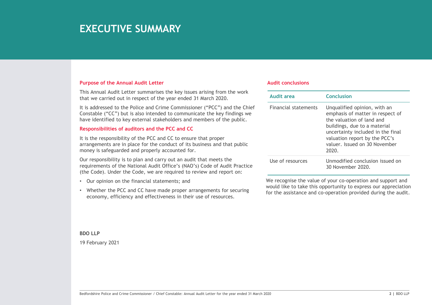### **EXECUTIVE SUMMARY**

### Purpose of the Annual Audit Letter

This Annual Audit Letter summarises the key issues arising from the work that we carried out in respect of the year ended 31 March 2020.

It is addressed to the Police and Crime Commissioner ("PCC") and the Chief Constable ("CC") but is also intended to communicate the key findings we have identified to key external stakeholders and members of the public.

### Responsibilities of auditors and the PCC and CC

It is the responsibility of the PCC and CC to ensure that proper arrangements are in place for the conduct of its business and that public money is safeguarded and properly accounted for.

or resources the National Audit Office is (NAO's) Code of Audit Practice<br>
The of resources or equiver and Crime Crime Conserve and crime Crime Crime Crime Conserve and crime Constant Crime<br>
(No Crime Crime Conserve and Cri Our responsibility is to plan and carry out an audit that meets the requirements of the National Audit Office's (NAO's) Code of Audit Practice (the Code). Under the Code, we are required to review and report on:

- Our opinion on the financial statements; and
- Whether the PCC and CC have made proper arrangements for securing economy, efficiency and effectiveness in their use of resources.

#### Audit conclusions

| <b>Audit conclusions</b>    |                                                                                                                                                                                                                                               |
|-----------------------------|-----------------------------------------------------------------------------------------------------------------------------------------------------------------------------------------------------------------------------------------------|
|                             |                                                                                                                                                                                                                                               |
| <b>Audit area</b>           | <b>Conclusion</b>                                                                                                                                                                                                                             |
| <b>Financial statements</b> | Unqualified opinion, with an<br>emphasis of matter in respect of<br>the valuation of land and<br>buildings, due to a material<br>uncertainty included in the final<br>valuation report by the PCC's<br>valuer. Issued on 30 November<br>2020. |

BDO LLP

19 February 2021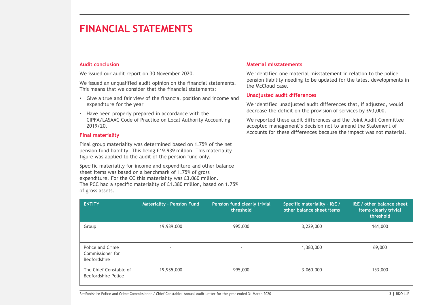#### Audit conclusion

- Give a true and fair view of the financial position and income and expenditure for the year
- Have been properly prepared in accordance with the CIPFA/LASAAC Code of Practice on Local Authority Accounting 2019/20.

#### Final materiality

### Material misstatements

### Unadjusted audit differences

| pension liability needing to be updated for the latest developments in<br>We issued an unqualified audit opinion on the financial statements.<br>the McCloud case.<br>This means that we consider that the financial statements:<br><b>Unadjusted audit differences</b><br>• Give a true and fair view of the financial position and income and<br>expenditure for the year<br>We identified unadjusted audit differences that, if adjusted, would<br>decrease the deficit on the provision of services by £93,000.<br>• Have been properly prepared in accordance with the<br>CIPFA/LASAAC Code of Practice on Local Authority Accounting<br>We reported these audit differences and the Joint Audit Committee<br>2019/20.<br>accepted management's decision not to amend the Statement of<br>Accounts for these differences because the impact was not material.<br><b>Final materiality</b><br>Final group materiality was determined based on 1.75% of the net<br>pension fund liability. This being £19.939 million. This materiality<br>figure was applied to the audit of the pension fund only.<br>Specific materiality for income and expenditure and other balance<br>sheet items was based on a benchmark of 1.75% of gross<br>expenditure. For the CC this materiality was £3.060 million.<br>The PCC had a specific materiality of £1.380 million, based on 1.75%<br>of gross assets.<br><b>ENTITY</b><br>I&E / other balance sheet<br><b>Materiality - Pension Fund</b><br>Pension fund clearly trivial<br>Specific materiality - I&E /<br>other balance sheet items<br>threshold<br>items clearly trivial<br>threshold<br>19,939,000<br>995,000<br>3,229,000<br>161,000<br>Group |
|-------------------------------------------------------------------------------------------------------------------------------------------------------------------------------------------------------------------------------------------------------------------------------------------------------------------------------------------------------------------------------------------------------------------------------------------------------------------------------------------------------------------------------------------------------------------------------------------------------------------------------------------------------------------------------------------------------------------------------------------------------------------------------------------------------------------------------------------------------------------------------------------------------------------------------------------------------------------------------------------------------------------------------------------------------------------------------------------------------------------------------------------------------------------------------------------------------------------------------------------------------------------------------------------------------------------------------------------------------------------------------------------------------------------------------------------------------------------------------------------------------------------------------------------------------------------------------------------------------------------------------------------------------------------------------------------------|
|                                                                                                                                                                                                                                                                                                                                                                                                                                                                                                                                                                                                                                                                                                                                                                                                                                                                                                                                                                                                                                                                                                                                                                                                                                                                                                                                                                                                                                                                                                                                                                                                                                                                                                 |
|                                                                                                                                                                                                                                                                                                                                                                                                                                                                                                                                                                                                                                                                                                                                                                                                                                                                                                                                                                                                                                                                                                                                                                                                                                                                                                                                                                                                                                                                                                                                                                                                                                                                                                 |
|                                                                                                                                                                                                                                                                                                                                                                                                                                                                                                                                                                                                                                                                                                                                                                                                                                                                                                                                                                                                                                                                                                                                                                                                                                                                                                                                                                                                                                                                                                                                                                                                                                                                                                 |
|                                                                                                                                                                                                                                                                                                                                                                                                                                                                                                                                                                                                                                                                                                                                                                                                                                                                                                                                                                                                                                                                                                                                                                                                                                                                                                                                                                                                                                                                                                                                                                                                                                                                                                 |
|                                                                                                                                                                                                                                                                                                                                                                                                                                                                                                                                                                                                                                                                                                                                                                                                                                                                                                                                                                                                                                                                                                                                                                                                                                                                                                                                                                                                                                                                                                                                                                                                                                                                                                 |
|                                                                                                                                                                                                                                                                                                                                                                                                                                                                                                                                                                                                                                                                                                                                                                                                                                                                                                                                                                                                                                                                                                                                                                                                                                                                                                                                                                                                                                                                                                                                                                                                                                                                                                 |
|                                                                                                                                                                                                                                                                                                                                                                                                                                                                                                                                                                                                                                                                                                                                                                                                                                                                                                                                                                                                                                                                                                                                                                                                                                                                                                                                                                                                                                                                                                                                                                                                                                                                                                 |
|                                                                                                                                                                                                                                                                                                                                                                                                                                                                                                                                                                                                                                                                                                                                                                                                                                                                                                                                                                                                                                                                                                                                                                                                                                                                                                                                                                                                                                                                                                                                                                                                                                                                                                 |
| Police and Crime<br>1,380,000<br>69,000<br>$\overline{\phantom{a}}$<br>Commissioner for<br>Bedfordshire                                                                                                                                                                                                                                                                                                                                                                                                                                                                                                                                                                                                                                                                                                                                                                                                                                                                                                                                                                                                                                                                                                                                                                                                                                                                                                                                                                                                                                                                                                                                                                                         |
| 19,935,000<br>153,000<br>The Chief Constable of<br>995,000<br>3,060,000<br><b>Bedfordshire Police</b>                                                                                                                                                                                                                                                                                                                                                                                                                                                                                                                                                                                                                                                                                                                                                                                                                                                                                                                                                                                                                                                                                                                                                                                                                                                                                                                                                                                                                                                                                                                                                                                           |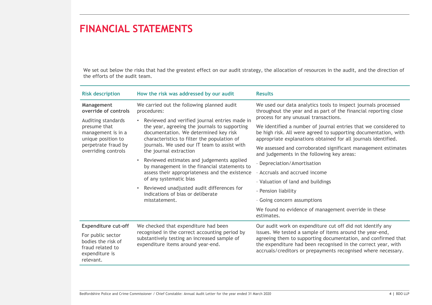| <b>FINANCIAL STATEMENTS</b>                                                                                                  |                                                                                                                                                                                                                                                                                                                                                                                                                                                                                                                                                    |                                                                                                                                                                                                                                                             |  |
|------------------------------------------------------------------------------------------------------------------------------|----------------------------------------------------------------------------------------------------------------------------------------------------------------------------------------------------------------------------------------------------------------------------------------------------------------------------------------------------------------------------------------------------------------------------------------------------------------------------------------------------------------------------------------------------|-------------------------------------------------------------------------------------------------------------------------------------------------------------------------------------------------------------------------------------------------------------|--|
|                                                                                                                              |                                                                                                                                                                                                                                                                                                                                                                                                                                                                                                                                                    |                                                                                                                                                                                                                                                             |  |
| the efforts of the audit team.                                                                                               |                                                                                                                                                                                                                                                                                                                                                                                                                                                                                                                                                    | We set out below the risks that had the greatest effect on our audit strategy, the allocation of resources in the audit, and the direction of                                                                                                               |  |
| <b>Risk description</b>                                                                                                      | How the risk was addressed by our audit                                                                                                                                                                                                                                                                                                                                                                                                                                                                                                            | <b>Results</b>                                                                                                                                                                                                                                              |  |
| Management<br>override of controls                                                                                           | We carried out the following planned audit<br>procedures:                                                                                                                                                                                                                                                                                                                                                                                                                                                                                          | We used our data analytics tools to inspect journals processed<br>throughout the year and as part of the financial reporting close                                                                                                                          |  |
| Auditing standards<br>presume that<br>management is in a<br>unique position to<br>perpetrate fraud by<br>overriding controls | • Reviewed and verified journal entries made in<br>the year, agreeing the journals to supporting<br>documentation. We determined key risk<br>characteristics to filter the population of<br>journals. We used our IT team to assist with<br>the journal extraction<br>• Reviewed estimates and judgements applied<br>by management in the financial statements to<br>assess their appropriateness and the existence<br>of any systematic bias<br>• Reviewed unadjusted audit differences for<br>indications of bias or deliberate<br>misstatement. | process for any unusual transactions.<br>We identified a number of journal entries that we considered to<br>be high risk. All were agreed to supporting documentation, with<br>appropriate explanations obtained for all journals identified.               |  |
|                                                                                                                              |                                                                                                                                                                                                                                                                                                                                                                                                                                                                                                                                                    | We assessed and corroborated significant management estimates<br>and judgements in the following key areas:                                                                                                                                                 |  |
|                                                                                                                              |                                                                                                                                                                                                                                                                                                                                                                                                                                                                                                                                                    | - Depreciation/Amortisation                                                                                                                                                                                                                                 |  |
|                                                                                                                              |                                                                                                                                                                                                                                                                                                                                                                                                                                                                                                                                                    | - Accruals and accrued income                                                                                                                                                                                                                               |  |
|                                                                                                                              |                                                                                                                                                                                                                                                                                                                                                                                                                                                                                                                                                    | - Valuation of land and buildings                                                                                                                                                                                                                           |  |
|                                                                                                                              |                                                                                                                                                                                                                                                                                                                                                                                                                                                                                                                                                    | - Pension liability<br>- Going concern assumptions                                                                                                                                                                                                          |  |
|                                                                                                                              |                                                                                                                                                                                                                                                                                                                                                                                                                                                                                                                                                    | We found no evidence of management override in these<br>estimates.                                                                                                                                                                                          |  |
| <b>Expenditure cut-off</b>                                                                                                   | We checked that expenditure had been                                                                                                                                                                                                                                                                                                                                                                                                                                                                                                               | Our audit work on expenditure cut off did not identify any                                                                                                                                                                                                  |  |
| For public sector<br>bodies the risk of<br>fraud related to<br>expenditure is<br>relevant.                                   | recognised in the correct accounting period by<br>substantively testing an increased sample of<br>expenditure items around year-end.                                                                                                                                                                                                                                                                                                                                                                                                               | issues. We tested a sample of items around the year-end,<br>agreeing them to supporting documentation, and confirmed that<br>the expenditure had been recognised in the correct year, with<br>accruals/creditors or prepayments recognised where necessary. |  |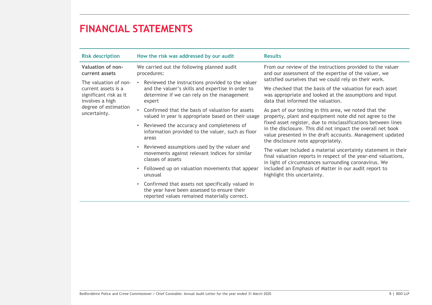| <b>Risk description</b>                                                                   | How the risk was addressed by our audit                                                                                                                       | <b>Results</b>                                                                                                                                                                                                                  |  |
|-------------------------------------------------------------------------------------------|---------------------------------------------------------------------------------------------------------------------------------------------------------------|---------------------------------------------------------------------------------------------------------------------------------------------------------------------------------------------------------------------------------|--|
| Valuation of non-<br>current assets                                                       | We carried out the following planned audit<br>procedures:                                                                                                     | From our review of the instructions provided to the valuer<br>and our assessment of the expertise of the valuer, we                                                                                                             |  |
| The valuation of non-<br>current assets is a<br>significant risk as it<br>involves a high | Reviewed the instructions provided to the valuer<br>and the valuer's skills and expertise in order to<br>determine if we can rely on the management<br>expert | satisfied ourselves that we could rely on their work.<br>We checked that the basis of the valuation for each asset<br>was appropriate and looked at the assumptions and input<br>data that informed the valuation.              |  |
| degree of estimation<br>uncertainty.                                                      | • Confirmed that the basis of valuation for assets<br>valued in year is appropriate based on their usage                                                      | As part of our testing in this area, we noted that the<br>property, plant and equipment note did not agree to the                                                                                                               |  |
|                                                                                           | • Reviewed the accuracy and completeness of<br>information provided to the valuer, such as floor<br>areas                                                     | fixed asset register, due to misclassifications between lines<br>in the disclosure. This did not impact the overall net book<br>value presented in the draft accounts. Management updated<br>the disclosure note appropriately. |  |
|                                                                                           | • Reviewed assumptions used by the valuer and<br>movements against relevant indices for similar<br>classes of assets                                          | The valuer included a material uncertainty statement in their<br>final valuation reports in respect of the year-end valuations,                                                                                                 |  |
|                                                                                           | • Followed up on valuation movements that appear<br>unusual                                                                                                   | in light of circumstances surrounding coronavirus. We<br>included an Emphasis of Matter in our audit report to<br>highlight this uncertainty.                                                                                   |  |
|                                                                                           | • Confirmed that assets not specifically valued in<br>the year have been assessed to ensure their<br>reported values remained materially correct.             |                                                                                                                                                                                                                                 |  |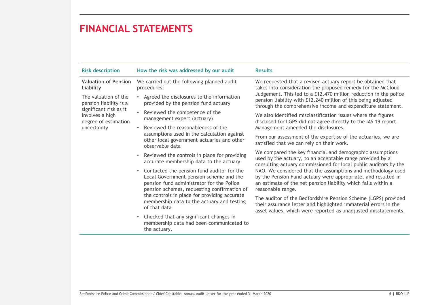| <b>Risk description</b>                                           | How the risk was addressed by our audit                                                                                                                                             | <b>Results</b>                                                                                                                                                                                                                                                                                                                                                                                                    |  |
|-------------------------------------------------------------------|-------------------------------------------------------------------------------------------------------------------------------------------------------------------------------------|-------------------------------------------------------------------------------------------------------------------------------------------------------------------------------------------------------------------------------------------------------------------------------------------------------------------------------------------------------------------------------------------------------------------|--|
| <b>Valuation of Pension</b><br>Liability                          | We carried out the following planned audit<br>procedures:                                                                                                                           | We requested that a revised actuary report be obtained that<br>takes into consideration the proposed remedy for the McCloud<br>Judgement. This led to a £12.470 million reduction in the police<br>pension liability with £12.240 million of this being adjusted<br>through the comprehensive income and expenditure statement.                                                                                   |  |
| The valuation of the<br>pension liability is a                    | • Agreed the disclosures to the information<br>provided by the pension fund actuary                                                                                                 |                                                                                                                                                                                                                                                                                                                                                                                                                   |  |
| significant risk as it<br>involves a high<br>degree of estimation | Reviewed the competence of the<br>management expert (actuary)                                                                                                                       | We also identified misclassification issues where the figures<br>disclosed for LGPS did not agree directly to the IAS 19 report.                                                                                                                                                                                                                                                                                  |  |
| uncertainty                                                       | Reviewed the reasonableness of the<br>assumptions used in the calculation against                                                                                                   | Management amended the disclosures.                                                                                                                                                                                                                                                                                                                                                                               |  |
|                                                                   | other local government actuaries and other<br>observable data                                                                                                                       | From our assessment of the expertise of the actuaries, we are<br>satisfied that we can rely on their work.                                                                                                                                                                                                                                                                                                        |  |
|                                                                   | Reviewed the controls in place for providing<br>accurate membership data to the actuary                                                                                             | We compared the key financial and demographic assumptions<br>used by the actuary, to an acceptable range provided by a<br>consulting actuary commissioned for local public auditors by the<br>NAO. We considered that the assumptions and methodology used<br>by the Pension Fund actuary were appropriate, and resulted in<br>an estimate of the net pension liability which falls within a<br>reasonable range. |  |
|                                                                   | • Contacted the pension fund auditor for the<br>Local Government pension scheme and the<br>pension fund administrator for the Police<br>pension schemes, requesting confirmation of |                                                                                                                                                                                                                                                                                                                                                                                                                   |  |
|                                                                   | the controls in place for providing accurate<br>membership data to the actuary and testing<br>of that data                                                                          | The auditor of the Bedfordshire Pension Scheme (LGPS) provided<br>their assurance letter and highlighted immaterial errors in the<br>asset values, which were reported as unadjusted misstatements.                                                                                                                                                                                                               |  |
|                                                                   | • Checked that any significant changes in<br>membership data had been communicated to<br>the actuary.                                                                               |                                                                                                                                                                                                                                                                                                                                                                                                                   |  |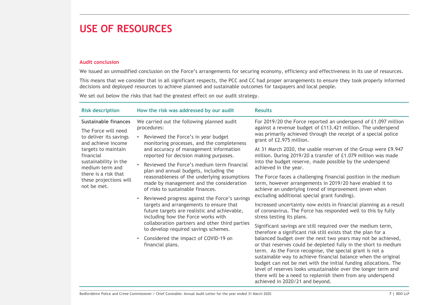### USE OF RESOURCES

### Audit conclusion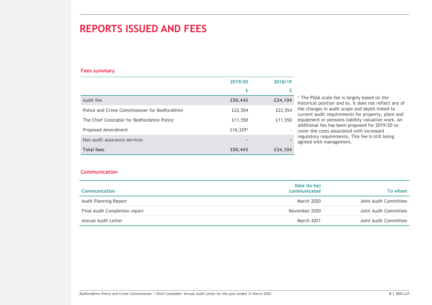### REPORTS ISSUED AND FEES

### Fees summary

| <b>REPORTS ISSUED AND FEES</b>                 |          |         |                         |                                                                                                                   |
|------------------------------------------------|----------|---------|-------------------------|-------------------------------------------------------------------------------------------------------------------|
|                                                |          |         |                         |                                                                                                                   |
|                                                |          |         |                         |                                                                                                                   |
| <b>Fees summary</b>                            |          |         |                         |                                                                                                                   |
|                                                | 2019/20  | 2018/19 |                         |                                                                                                                   |
|                                                | £        | £       |                         |                                                                                                                   |
| Audit fee                                      | £50,443  | £34,104 |                         | <sup>1</sup> The PSAA scale fee is largely based on the<br>historical position and so, it does not reflect any of |
| Police and Crime Commissioner for Bedfordshire | £22,554  | £22,554 |                         | the changes in audit scope and depth linked to                                                                    |
| The Chief Constable for Bedfordshire Police    | £11,550  | £11,550 |                         | current audit requirements for property, plant and<br>equipment or pensions liability valuation work. An          |
| Proposed Amendment                             | £16,3291 |         |                         | additional fee has been proposed for 2019/20 to<br>cover the costs associated with increased                      |
| Non-audit assurance services                   |          |         | agreed with management. | regulatory requirements. This fee is still being                                                                  |
| <b>Total fees</b>                              | £50,443  | £34,104 |                         |                                                                                                                   |
|                                                |          |         |                         |                                                                                                                   |
| <b>Communication</b>                           |          |         |                         |                                                                                                                   |
|                                                |          |         | Date (to be)            |                                                                                                                   |
| <b>Communication</b>                           |          |         | communicated            | To whom                                                                                                           |
| Audit Planning Report                          |          |         | March 2020              | Joint Audit Committee                                                                                             |
| Final Audit Completion report                  |          |         | November 2020           | Joint Audit Committee                                                                                             |
| Annual Audit Letter                            |          |         | March 2021              | Joint Audit Committee                                                                                             |

#### **Communication**

| <b>Communication</b>                                                                                               |                              |                       |
|--------------------------------------------------------------------------------------------------------------------|------------------------------|-----------------------|
| Communication                                                                                                      | Date (to be)<br>communicated | To whom               |
| Audit Planning Report                                                                                              | March 2020                   | Joint Audit Committee |
| Final Audit Completion report                                                                                      | November 2020                | Joint Audit Committee |
| Annual Audit Letter                                                                                                | March 2021                   | Joint Audit Committee |
|                                                                                                                    |                              |                       |
|                                                                                                                    |                              |                       |
| Bedfordshire Police and Crime Commissioner / Chief Constable: Annual Audit Letter for the year ended 31 March 2020 |                              | 8   BDO LLP           |